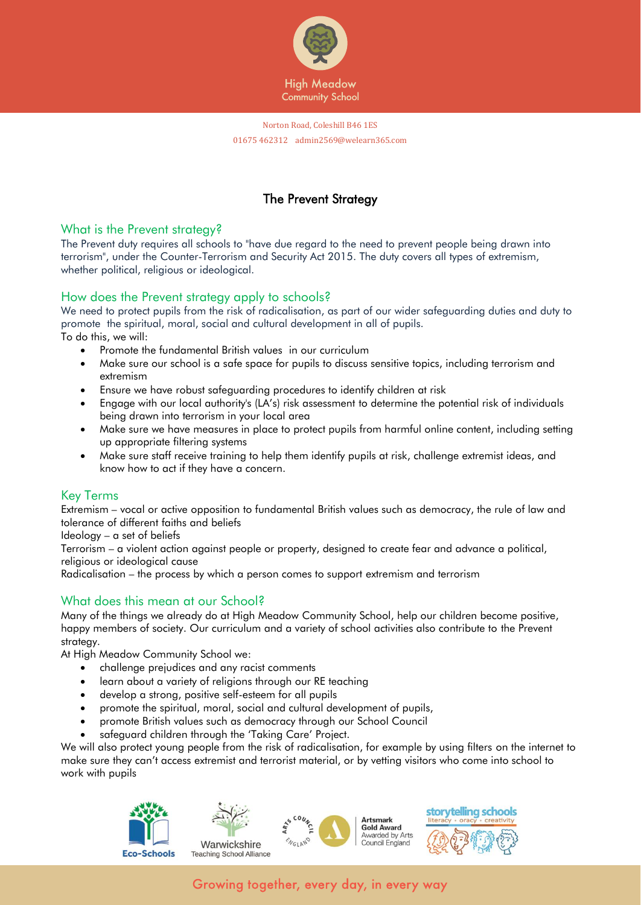

# The Prevent Strategy

### What is the Prevent strategy?

The Prevent duty requires all schools to "have due regard to the need to prevent people being drawn into terrorism", under the Counter-Terrorism and Security Act 2015. The duty covers all types of extremism, whether political, religious or ideological.

# How does the Prevent strategy apply to schools?

We need to protect pupils from the risk of radicalisation, as part of our wider safeguarding duties and duty to promote the spiritual, moral, social and cultural development in all of pupils. To do this, we will:

- Promote the fundamental British values in our curriculum
- Make sure our school is a safe space for pupils to discuss sensitive topics, including terrorism and extremism
- Ensure we have robust safeguarding procedures to identify children at risk
- Engage with our local authority's (LA's) risk assessment to determine the potential risk of individuals being drawn into terrorism in your local area
- Make sure we have measures in place to protect pupils from harmful online content, including setting up appropriate filtering systems
- Make sure staff receive training to help them identify pupils at risk, challenge extremist ideas, and know how to act if they have a concern.

# Key Terms

Extremism – vocal or active opposition to fundamental British values such as democracy, the rule of law and tolerance of different faiths and beliefs

Ideology – a set of beliefs

Terrorism – a violent action against people or property, designed to create fear and advance a political, religious or ideological cause

Radicalisation – the process by which a person comes to support extremism and terrorism

# What does this mean at our School?

Many of the things we already do at High Meadow Community School, help our children become positive, happy members of society. Our curriculum and a variety of school activities also contribute to the Prevent strategy.

At High Meadow Community School we:

- challenge prejudices and any racist comments
- learn about a variety of religions through our RE teaching
- develop a strong, positive self-esteem for all pupils
- promote the spiritual, moral, social and cultural development of pupils,
- promote British values such as democracy through our School Council
- safeguard children through the 'Taking Care' Project.

We will also protect young people from the risk of radicalisation, for example by using filters on the internet to make sure they can't access extremist and terrorist material, or by vetting visitors who come into school to work with pupils









Growing together, every day, in every way